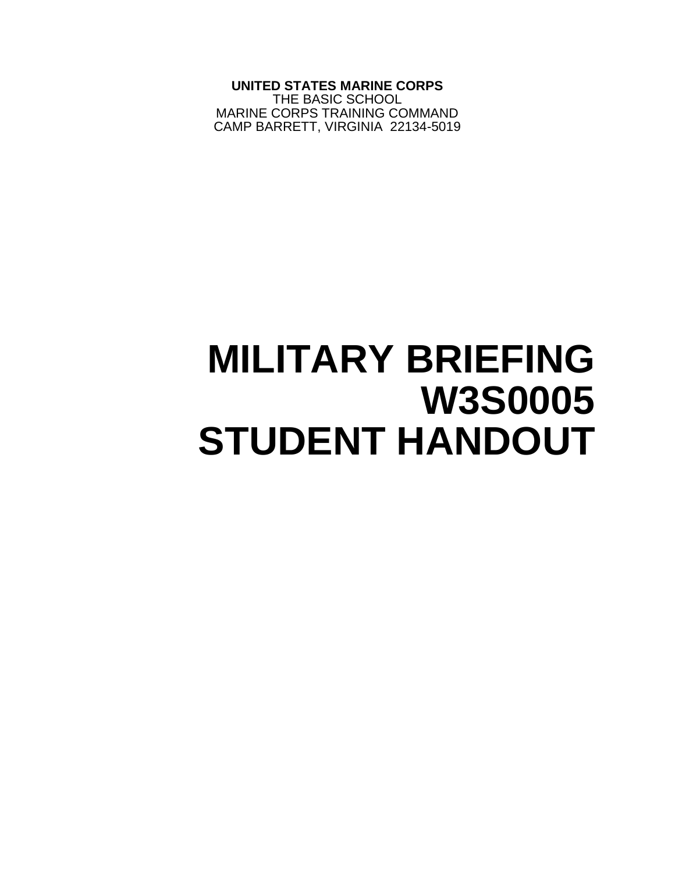**UNITED STATES MARINE CORPS** THE BASIC SCHOOL MARINE CORPS TRAINING COMMAND CAMP BARRETT, VIRGINIA 22134-5019

# **MILITARY BRIEFING W3S0005 STUDENT HANDOUT**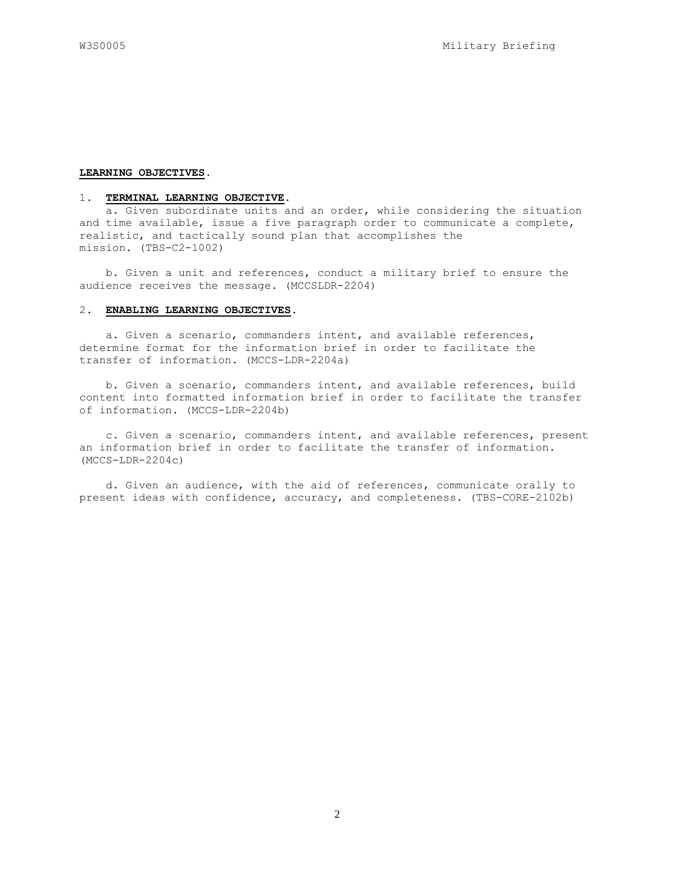#### **LEARNING OBJECTIVES.**

#### 1. **TERMINAL LEARNING OBJECTIVE**.

 a. Given subordinate units and an order, while considering the situation and time available, issue a five paragraph order to communicate a complete, realistic, and tactically sound plan that accomplishes the mission. (TBS-C2-1002)

 b. Given a unit and references, conduct a military brief to ensure the audience receives the message. (MCCSLDR-2204)

# 2. **ENABLING LEARNING OBJECTIVES.**

 a. Given a scenario, commanders intent, and available references, determine format for the information brief in order to facilitate the transfer of information. (MCCS-LDR-2204a)

 b. Given a scenario, commanders intent, and available references, build content into formatted information brief in order to facilitate the transfer of information. (MCCS-LDR-2204b)

 c. Given a scenario, commanders intent, and available references, present an information brief in order to facilitate the transfer of information. (MCCS-LDR-2204c)

 d. Given an audience, with the aid of references, communicate orally to present ideas with confidence, accuracy, and completeness. (TBS-CORE-2102b)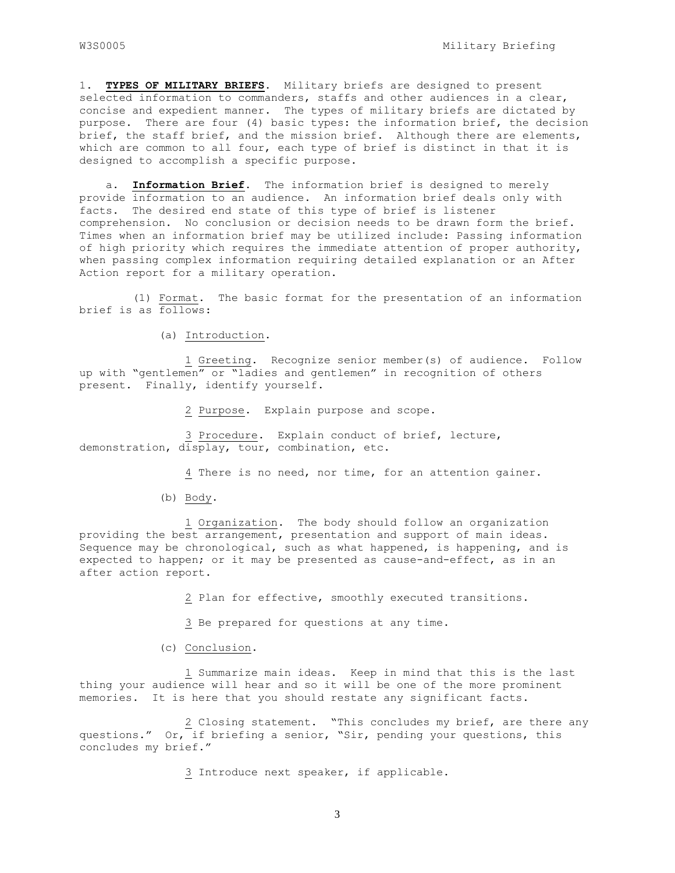1. **TYPES OF MILITARY BRIEFS**. Military briefs are designed to present selected information to commanders, staffs and other audiences in a clear, concise and expedient manner. The types of military briefs are dictated by purpose. There are four (4) basic types: the information brief, the decision brief, the staff brief, and the mission brief. Although there are elements, which are common to all four, each type of brief is distinct in that it is designed to accomplish a specific purpose.

 a. **Information Brief**. The information brief is designed to merely provide information to an audience. An information brief deals only with facts. The desired end state of this type of brief is listener comprehension. No conclusion or decision needs to be drawn form the brief. Times when an information brief may be utilized include: Passing information of high priority which requires the immediate attention of proper authority, when passing complex information requiring detailed explanation or an After Action report for a military operation.

 (1) Format. The basic format for the presentation of an information brief is as follows:

(a) Introduction.

 1 Greeting. Recognize senior member(s) of audience. Follow up with "gentlemen" or "ladies and gentlemen" in recognition of others present. Finally, identify yourself.

2 Purpose. Explain purpose and scope.

 3 Procedure. Explain conduct of brief, lecture, demonstration, display, tour, combination, etc.

4 There is no need, nor time, for an attention gainer.

(b) Body.

 1 Organization. The body should follow an organization providing the best arrangement, presentation and support of main ideas. Sequence may be chronological, such as what happened, is happening, and is expected to happen; or it may be presented as cause-and-effect, as in an after action report.

2 Plan for effective, smoothly executed transitions.

3 Be prepared for questions at any time.

(c) Conclusion.

 1 Summarize main ideas. Keep in mind that this is the last thing your audience will hear and so it will be one of the more prominent memories. It is here that you should restate any significant facts.

 2 Closing statement. "This concludes my brief, are there any questions." Or, if briefing a senior, "Sir, pending your questions, this concludes my brief."

3 Introduce next speaker, if applicable.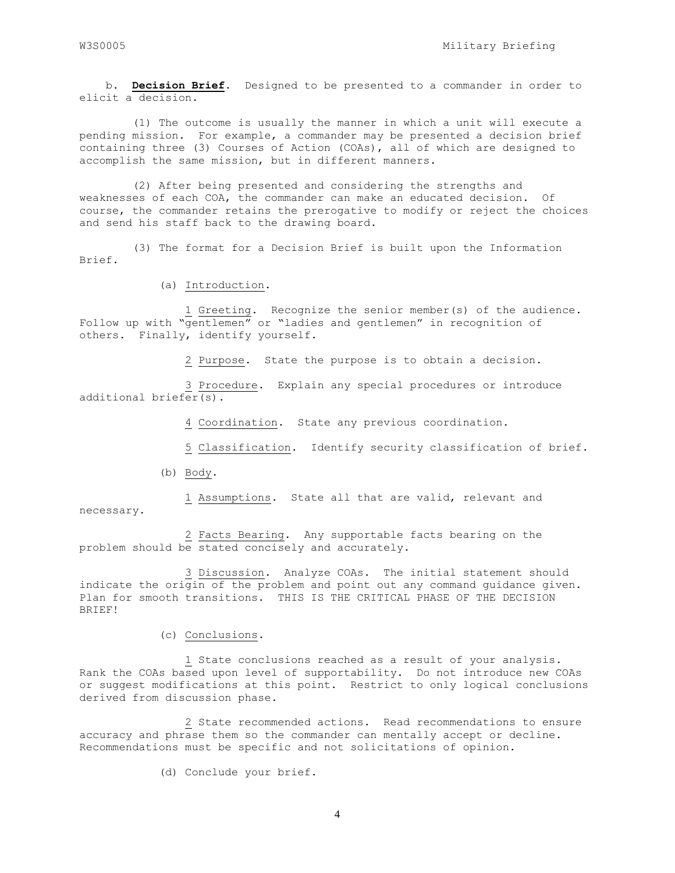b. **Decision Brief**. Designed to be presented to a commander in order to elicit a decision.

 (1) The outcome is usually the manner in which a unit will execute a pending mission. For example, a commander may be presented a decision brief containing three (3) Courses of Action (COAs), all of which are designed to accomplish the same mission, but in different manners.

 (2) After being presented and considering the strengths and weaknesses of each COA, the commander can make an educated decision. Of course, the commander retains the prerogative to modify or reject the choices and send his staff back to the drawing board.

 (3) The format for a Decision Brief is built upon the Information Brief.

(a) Introduction.

 1 Greeting. Recognize the senior member(s) of the audience. Follow up with "gentlemen" or "ladies and gentlemen" in recognition of others. Finally, identify yourself.

2 Purpose. State the purpose is to obtain a decision.

 3 Procedure. Explain any special procedures or introduce additional briefer(s).

4 Coordination. State any previous coordination.

5 Classification. Identify security classification of brief.

(b) Body.

1 Assumptions. State all that are valid, relevant and

necessary.

 2 Facts Bearing. Any supportable facts bearing on the problem should be stated concisely and accurately.

 3 Discussion. Analyze COAs. The initial statement should indicate the origin of the problem and point out any command guidance given. Plan for smooth transitions. THIS IS THE CRITICAL PHASE OF THE DECISION BRIEF!

# (c) Conclusions.

 1 State conclusions reached as a result of your analysis. Rank the COAs based upon level of supportability. Do not introduce new COAs or suggest modifications at this point. Restrict to only logical conclusions derived from discussion phase.

 2 State recommended actions. Read recommendations to ensure accuracy and phrase them so the commander can mentally accept or decline. Recommendations must be specific and not solicitations of opinion.

(d) Conclude your brief.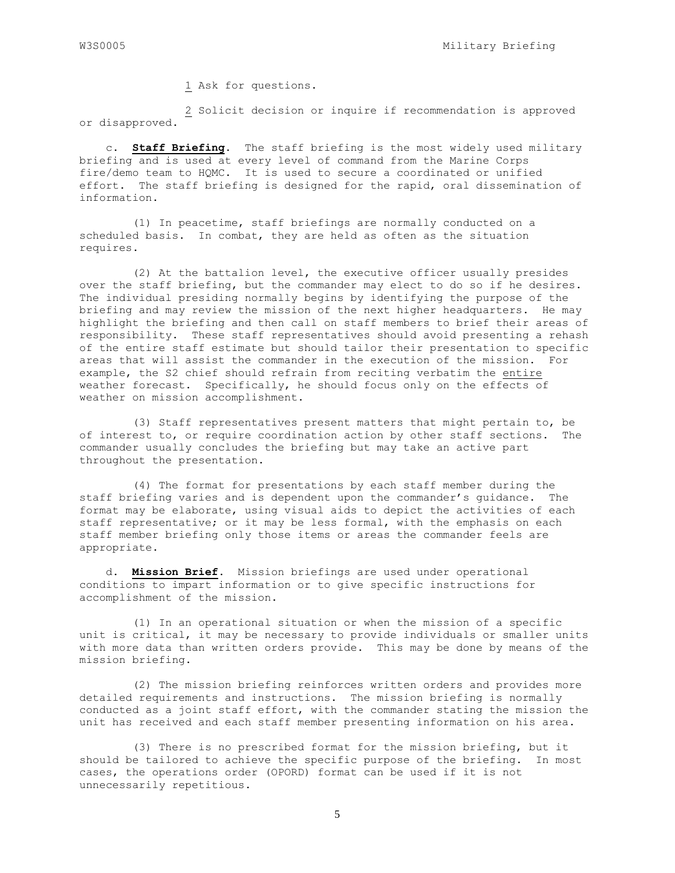1 Ask for questions.

 2 Solicit decision or inquire if recommendation is approved or disapproved.

 c. **Staff Briefing**. The staff briefing is the most widely used military briefing and is used at every level of command from the Marine Corps fire/demo team to HQMC. It is used to secure a coordinated or unified effort. The staff briefing is designed for the rapid, oral dissemination of information.

 (1) In peacetime, staff briefings are normally conducted on a scheduled basis. In combat, they are held as often as the situation requires.

 (2) At the battalion level, the executive officer usually presides over the staff briefing, but the commander may elect to do so if he desires. The individual presiding normally begins by identifying the purpose of the briefing and may review the mission of the next higher headquarters. He may highlight the briefing and then call on staff members to brief their areas of responsibility. These staff representatives should avoid presenting a rehash of the entire staff estimate but should tailor their presentation to specific areas that will assist the commander in the execution of the mission. For example, the S2 chief should refrain from reciting verbatim the entire weather forecast. Specifically, he should focus only on the effects of weather on mission accomplishment.

 (3) Staff representatives present matters that might pertain to, be of interest to, or require coordination action by other staff sections. The commander usually concludes the briefing but may take an active part throughout the presentation.

 (4) The format for presentations by each staff member during the staff briefing varies and is dependent upon the commander's guidance. The format may be elaborate, using visual aids to depict the activities of each staff representative; or it may be less formal, with the emphasis on each staff member briefing only those items or areas the commander feels are appropriate.

 d. **Mission Brief**. Mission briefings are used under operational conditions to impart information or to give specific instructions for accomplishment of the mission.

 (1) In an operational situation or when the mission of a specific unit is critical, it may be necessary to provide individuals or smaller units with more data than written orders provide. This may be done by means of the mission briefing.

 (2) The mission briefing reinforces written orders and provides more detailed requirements and instructions. The mission briefing is normally conducted as a joint staff effort, with the commander stating the mission the unit has received and each staff member presenting information on his area.

 (3) There is no prescribed format for the mission briefing, but it should be tailored to achieve the specific purpose of the briefing. In most cases, the operations order (OPORD) format can be used if it is not unnecessarily repetitious.

5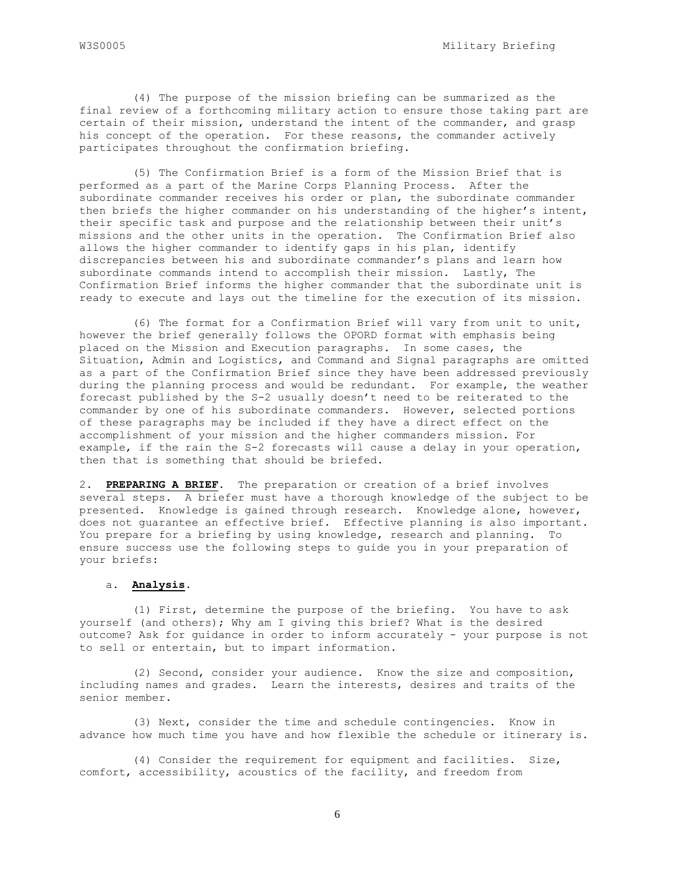(4) The purpose of the mission briefing can be summarized as the final review of a forthcoming military action to ensure those taking part are certain of their mission, understand the intent of the commander, and grasp his concept of the operation. For these reasons, the commander actively participates throughout the confirmation briefing.

 (5) The Confirmation Brief is a form of the Mission Brief that is performed as a part of the Marine Corps Planning Process. After the subordinate commander receives his order or plan, the subordinate commander then briefs the higher commander on his understanding of the higher's intent, their specific task and purpose and the relationship between their unit's missions and the other units in the operation. The Confirmation Brief also allows the higher commander to identify gaps in his plan, identify discrepancies between his and subordinate commander's plans and learn how subordinate commands intend to accomplish their mission. Lastly, The Confirmation Brief informs the higher commander that the subordinate unit is ready to execute and lays out the timeline for the execution of its mission.

 (6) The format for a Confirmation Brief will vary from unit to unit, however the brief generally follows the OPORD format with emphasis being placed on the Mission and Execution paragraphs. In some cases, the Situation, Admin and Logistics, and Command and Signal paragraphs are omitted as a part of the Confirmation Brief since they have been addressed previously during the planning process and would be redundant. For example, the weather forecast published by the S-2 usually doesn't need to be reiterated to the commander by one of his subordinate commanders. However, selected portions of these paragraphs may be included if they have a direct effect on the accomplishment of your mission and the higher commanders mission. For example, if the rain the S-2 forecasts will cause a delay in your operation, then that is something that should be briefed.

2. **PREPARING A BRIEF**. The preparation or creation of a brief involves several steps. A briefer must have a thorough knowledge of the subject to be presented. Knowledge is gained through research. Knowledge alone, however, does not guarantee an effective brief. Effective planning is also important. You prepare for a briefing by using knowledge, research and planning. To ensure success use the following steps to guide you in your preparation of your briefs:

# a. **Analysis**.

 (1) First, determine the purpose of the briefing. You have to ask yourself (and others); Why am I giving this brief? What is the desired outcome? Ask for guidance in order to inform accurately - your purpose is not to sell or entertain, but to impart information.

 (2) Second, consider your audience. Know the size and composition, including names and grades. Learn the interests, desires and traits of the senior member.

 (3) Next, consider the time and schedule contingencies. Know in advance how much time you have and how flexible the schedule or itinerary is.

 (4) Consider the requirement for equipment and facilities. Size, comfort, accessibility, acoustics of the facility, and freedom from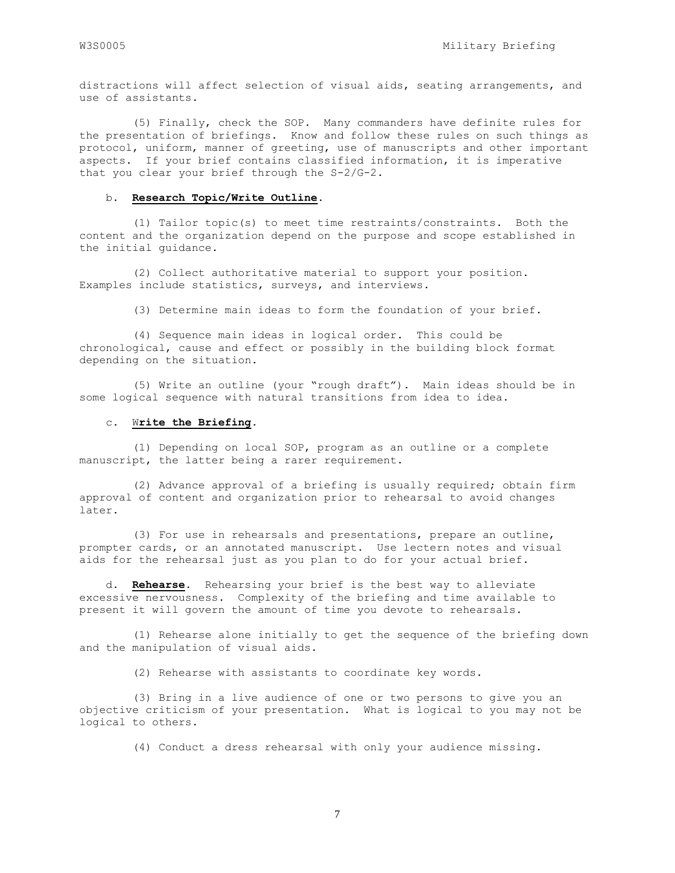distractions will affect selection of visual aids, seating arrangements, and use of assistants.

 (5) Finally, check the SOP. Many commanders have definite rules for the presentation of briefings. Know and follow these rules on such things as protocol, uniform, manner of greeting, use of manuscripts and other important aspects. If your brief contains classified information, it is imperative that you clear your brief through the S-2/G-2.

### b. **Research Topic/Write Outline**.

 (1) Tailor topic(s) to meet time restraints/constraints. Both the content and the organization depend on the purpose and scope established in the initial guidance.

 (2) Collect authoritative material to support your position. Examples include statistics, surveys, and interviews.

(3) Determine main ideas to form the foundation of your brief.

 (4) Sequence main ideas in logical order. This could be chronological, cause and effect or possibly in the building block format depending on the situation.

 (5) Write an outline (your "rough draft"). Main ideas should be in some logical sequence with natural transitions from idea to idea.

## c. W**rite the Briefing**.

 (1) Depending on local SOP, program as an outline or a complete manuscript, the latter being a rarer requirement.

 (2) Advance approval of a briefing is usually required; obtain firm approval of content and organization prior to rehearsal to avoid changes later.

 (3) For use in rehearsals and presentations, prepare an outline, prompter cards, or an annotated manuscript. Use lectern notes and visual aids for the rehearsal just as you plan to do for your actual brief.

 d. **Rehearse**. Rehearsing your brief is the best way to alleviate excessive nervousness. Complexity of the briefing and time available to present it will govern the amount of time you devote to rehearsals.

 (1) Rehearse alone initially to get the sequence of the briefing down and the manipulation of visual aids.

(2) Rehearse with assistants to coordinate key words.

 (3) Bring in a live audience of one or two persons to give you an objective criticism of your presentation. What is logical to you may not be logical to others.

(4) Conduct a dress rehearsal with only your audience missing.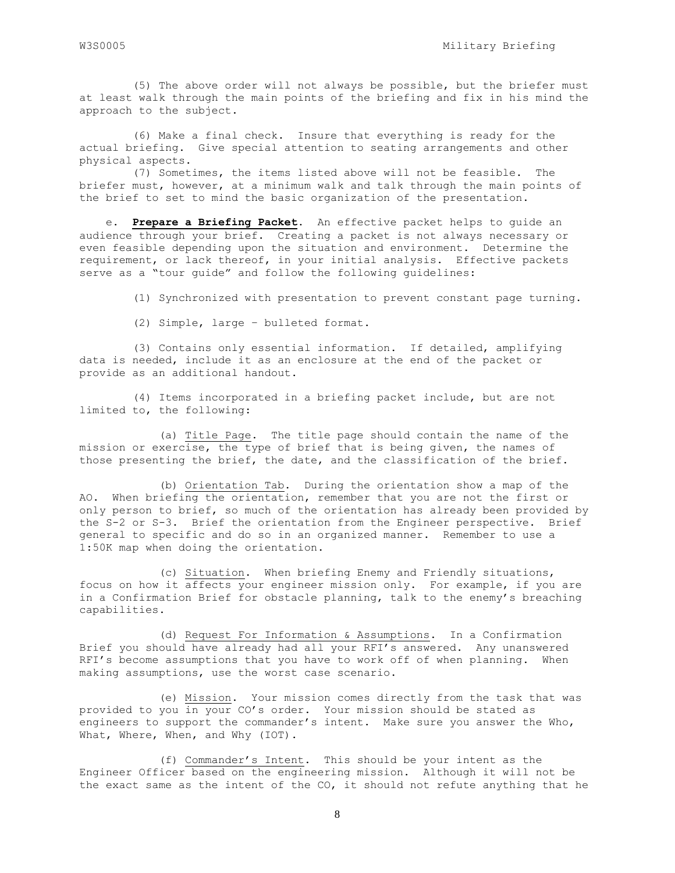(5) The above order will not always be possible, but the briefer must at least walk through the main points of the briefing and fix in his mind the approach to the subject.

 (6) Make a final check. Insure that everything is ready for the actual briefing. Give special attention to seating arrangements and other physical aspects.

 (7) Sometimes, the items listed above will not be feasible. The briefer must, however, at a minimum walk and talk through the main points of the brief to set to mind the basic organization of the presentation.

 e. **Prepare a Briefing Packet**. An effective packet helps to guide an audience through your brief. Creating a packet is not always necessary or even feasible depending upon the situation and environment. Determine the requirement, or lack thereof, in your initial analysis. Effective packets serve as a "tour guide" and follow the following guidelines:

(1) Synchronized with presentation to prevent constant page turning.

(2) Simple, large – bulleted format.

 (3) Contains only essential information. If detailed, amplifying data is needed, include it as an enclosure at the end of the packet or provide as an additional handout.

 (4) Items incorporated in a briefing packet include, but are not limited to, the following:

 (a) Title Page. The title page should contain the name of the mission or exercise, the type of brief that is being given, the names of those presenting the brief, the date, and the classification of the brief.

 (b) Orientation Tab. During the orientation show a map of the AO. When briefing the orientation, remember that you are not the first or only person to brief, so much of the orientation has already been provided by the S-2 or S-3. Brief the orientation from the Engineer perspective. Brief general to specific and do so in an organized manner. Remember to use a 1:50K map when doing the orientation.

 (c) Situation. When briefing Enemy and Friendly situations, focus on how it affects your engineer mission only. For example, if you are in a Confirmation Brief for obstacle planning, talk to the enemy's breaching capabilities.

 (d) Request For Information & Assumptions. In a Confirmation Brief you should have already had all your RFI's answered. Any unanswered RFI's become assumptions that you have to work off of when planning. When making assumptions, use the worst case scenario.

 (e) Mission. Your mission comes directly from the task that was provided to you in your CO's order. Your mission should be stated as engineers to support the commander's intent. Make sure you answer the Who, What, Where, When, and Why (IOT).

 (f) Commander's Intent. This should be your intent as the Engineer Officer based on the engineering mission. Although it will not be the exact same as the intent of the CO, it should not refute anything that he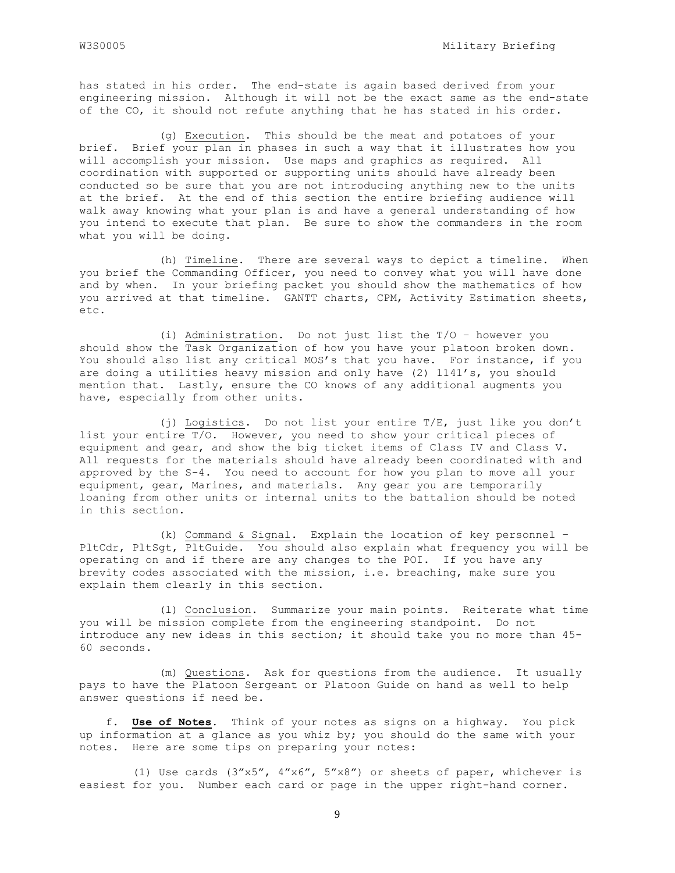has stated in his order. The end-state is again based derived from your engineering mission. Although it will not be the exact same as the end-state of the CO, it should not refute anything that he has stated in his order.

 (g) Execution. This should be the meat and potatoes of your brief. Brief your plan in phases in such a way that it illustrates how you will accomplish your mission. Use maps and graphics as required. All coordination with supported or supporting units should have already been conducted so be sure that you are not introducing anything new to the units at the brief. At the end of this section the entire briefing audience will walk away knowing what your plan is and have a general understanding of how you intend to execute that plan. Be sure to show the commanders in the room what you will be doing.

 (h) Timeline. There are several ways to depict a timeline. When you brief the Commanding Officer, you need to convey what you will have done and by when. In your briefing packet you should show the mathematics of how you arrived at that timeline. GANTT charts, CPM, Activity Estimation sheets, etc.

 (i) Administration. Do not just list the T/O – however you should show the Task Organization of how you have your platoon broken down. You should also list any critical MOS's that you have. For instance, if you are doing a utilities heavy mission and only have (2) 1141's, you should mention that. Lastly, ensure the CO knows of any additional augments you have, especially from other units.

 (j) Logistics. Do not list your entire T/E, just like you don't list your entire T/O. However, you need to show your critical pieces of equipment and gear, and show the big ticket items of Class IV and Class V. All requests for the materials should have already been coordinated with and approved by the S-4. You need to account for how you plan to move all your equipment, gear, Marines, and materials. Any gear you are temporarily loaning from other units or internal units to the battalion should be noted in this section.

 (k) Command & Signal. Explain the location of key personnel – PltCdr, PltSgt, PltGuide. You should also explain what frequency you will be operating on and if there are any changes to the POI. If you have any brevity codes associated with the mission, i.e. breaching, make sure you explain them clearly in this section.

 (l) Conclusion. Summarize your main points. Reiterate what time you will be mission complete from the engineering standpoint. Do not introduce any new ideas in this section; it should take you no more than 45- 60 seconds.

 (m) Questions. Ask for questions from the audience. It usually pays to have the Platoon Sergeant or Platoon Guide on hand as well to help answer questions if need be.

 f. **Use of Notes**. Think of your notes as signs on a highway. You pick up information at a glance as you whiz by; you should do the same with your notes. Here are some tips on preparing your notes:

(1) Use cards  $(3''x5'', 4''x6'', 5''x8'')$  or sheets of paper, whichever is easiest for you. Number each card or page in the upper right-hand corner.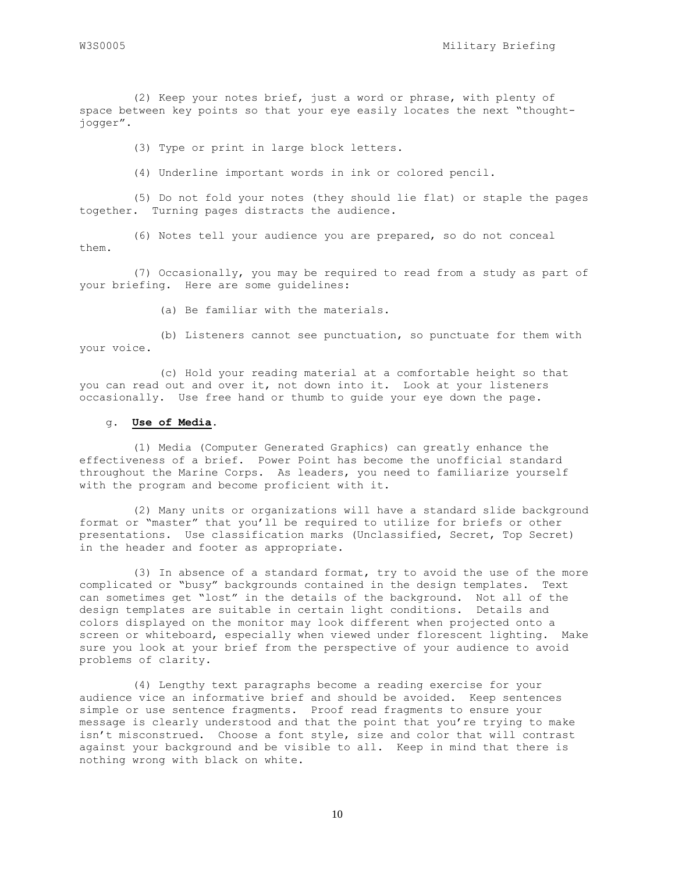(2) Keep your notes brief, just a word or phrase, with plenty of space between key points so that your eye easily locates the next "thoughtjogger".

(3) Type or print in large block letters.

(4) Underline important words in ink or colored pencil.

 (5) Do not fold your notes (they should lie flat) or staple the pages together. Turning pages distracts the audience.

 (6) Notes tell your audience you are prepared, so do not conceal them.

 (7) Occasionally, you may be required to read from a study as part of your briefing. Here are some guidelines:

(a) Be familiar with the materials.

 (b) Listeners cannot see punctuation, so punctuate for them with your voice.

 (c) Hold your reading material at a comfortable height so that you can read out and over it, not down into it. Look at your listeners occasionally. Use free hand or thumb to guide your eye down the page.

#### g. **Use of Media**.

 (1) Media (Computer Generated Graphics) can greatly enhance the effectiveness of a brief. Power Point has become the unofficial standard throughout the Marine Corps. As leaders, you need to familiarize yourself with the program and become proficient with it.

 (2) Many units or organizations will have a standard slide background format or "master" that you'll be required to utilize for briefs or other presentations. Use classification marks (Unclassified, Secret, Top Secret) in the header and footer as appropriate.

 (3) In absence of a standard format, try to avoid the use of the more complicated or "busy" backgrounds contained in the design templates. Text can sometimes get "lost" in the details of the background. Not all of the design templates are suitable in certain light conditions. Details and colors displayed on the monitor may look different when projected onto a screen or whiteboard, especially when viewed under florescent lighting. Make sure you look at your brief from the perspective of your audience to avoid problems of clarity.

 (4) Lengthy text paragraphs become a reading exercise for your audience vice an informative brief and should be avoided. Keep sentences simple or use sentence fragments. Proof read fragments to ensure your message is clearly understood and that the point that you're trying to make isn't misconstrued. Choose a font style, size and color that will contrast against your background and be visible to all. Keep in mind that there is nothing wrong with black on white.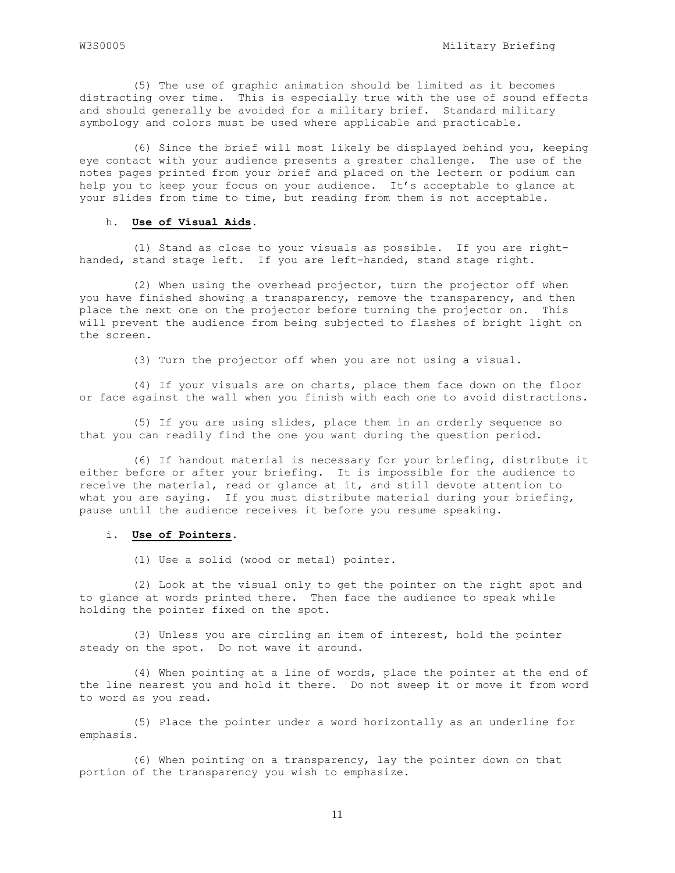(5) The use of graphic animation should be limited as it becomes distracting over time. This is especially true with the use of sound effects and should generally be avoided for a military brief. Standard military symbology and colors must be used where applicable and practicable.

 (6) Since the brief will most likely be displayed behind you, keeping eye contact with your audience presents a greater challenge. The use of the notes pages printed from your brief and placed on the lectern or podium can help you to keep your focus on your audience. It's acceptable to glance at your slides from time to time, but reading from them is not acceptable.

# h. **Use of Visual Aids**.

 (1) Stand as close to your visuals as possible. If you are righthanded, stand stage left. If you are left-handed, stand stage right.

 (2) When using the overhead projector, turn the projector off when you have finished showing a transparency, remove the transparency, and then place the next one on the projector before turning the projector on. This will prevent the audience from being subjected to flashes of bright light on the screen.

(3) Turn the projector off when you are not using a visual.

 (4) If your visuals are on charts, place them face down on the floor or face against the wall when you finish with each one to avoid distractions.

 (5) If you are using slides, place them in an orderly sequence so that you can readily find the one you want during the question period.

 (6) If handout material is necessary for your briefing, distribute it either before or after your briefing. It is impossible for the audience to receive the material, read or glance at it, and still devote attention to what you are saying. If you must distribute material during your briefing, pause until the audience receives it before you resume speaking.

# i. **Use of Pointers.**

(1) Use a solid (wood or metal) pointer.

 (2) Look at the visual only to get the pointer on the right spot and to glance at words printed there. Then face the audience to speak while holding the pointer fixed on the spot.

 (3) Unless you are circling an item of interest, hold the pointer steady on the spot. Do not wave it around.

 (4) When pointing at a line of words, place the pointer at the end of the line nearest you and hold it there. Do not sweep it or move it from word to word as you read.

 (5) Place the pointer under a word horizontally as an underline for emphasis.

 (6) When pointing on a transparency, lay the pointer down on that portion of the transparency you wish to emphasize.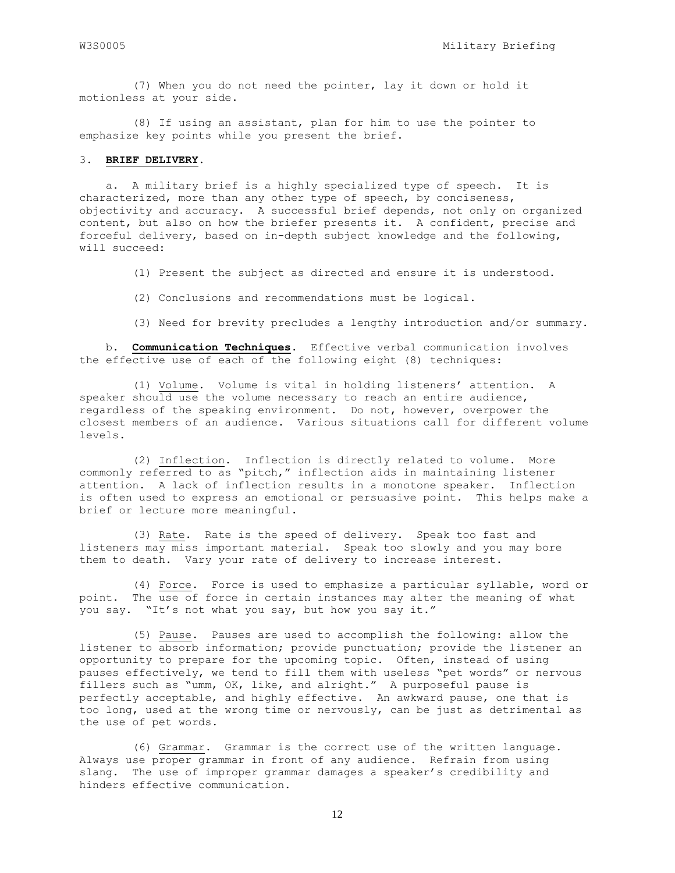(7) When you do not need the pointer, lay it down or hold it motionless at your side.

 (8) If using an assistant, plan for him to use the pointer to emphasize key points while you present the brief.

#### 3. **BRIEF DELIVERY**.

 a. A military brief is a highly specialized type of speech. It is characterized, more than any other type of speech, by conciseness, objectivity and accuracy. A successful brief depends, not only on organized content, but also on how the briefer presents it. A confident, precise and forceful delivery, based on in-depth subject knowledge and the following, will succeed:

(1) Present the subject as directed and ensure it is understood.

(2) Conclusions and recommendations must be logical.

(3) Need for brevity precludes a lengthy introduction and/or summary.

 b. **Communication Techniques**. Effective verbal communication involves the effective use of each of the following eight (8) techniques:

 (1) Volume. Volume is vital in holding listeners' attention. A speaker should use the volume necessary to reach an entire audience, regardless of the speaking environment. Do not, however, overpower the closest members of an audience. Various situations call for different volume levels.

 (2) Inflection. Inflection is directly related to volume. More commonly referred to as "pitch," inflection aids in maintaining listener attention. A lack of inflection results in a monotone speaker. Inflection is often used to express an emotional or persuasive point. This helps make a brief or lecture more meaningful.

 (3) Rate. Rate is the speed of delivery. Speak too fast and listeners may miss important material. Speak too slowly and you may bore them to death. Vary your rate of delivery to increase interest.

 (4) Force. Force is used to emphasize a particular syllable, word or point. The use of force in certain instances may alter the meaning of what you say. "It's not what you say, but how you say it."

 (5) Pause. Pauses are used to accomplish the following: allow the listener to absorb information; provide punctuation; provide the listener an opportunity to prepare for the upcoming topic. Often, instead of using pauses effectively, we tend to fill them with useless "pet words" or nervous fillers such as "umm, OK, like, and alright." A purposeful pause is perfectly acceptable, and highly effective. An awkward pause, one that is too long, used at the wrong time or nervously, can be just as detrimental as the use of pet words.

 (6) Grammar. Grammar is the correct use of the written language. Always use proper grammar in front of any audience. Refrain from using slang. The use of improper grammar damages a speaker's credibility and hinders effective communication.

12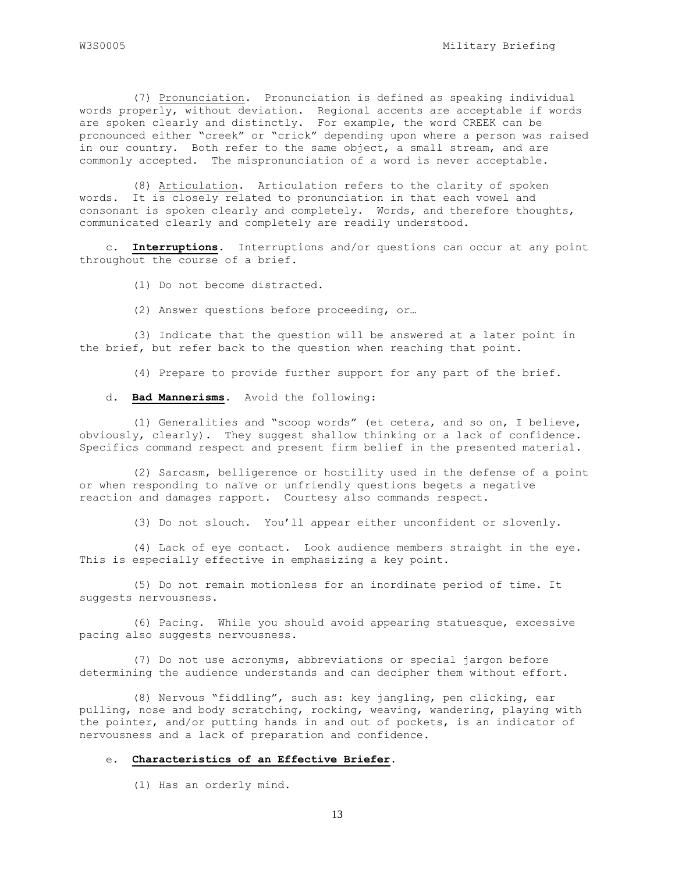(7) Pronunciation. Pronunciation is defined as speaking individual words properly, without deviation. Regional accents are acceptable if words are spoken clearly and distinctly. For example, the word CREEK can be pronounced either "creek" or "crick" depending upon where a person was raised in our country. Both refer to the same object, a small stream, and are commonly accepted. The mispronunciation of a word is never acceptable.

 (8) Articulation. Articulation refers to the clarity of spoken words. It is closely related to pronunciation in that each vowel and consonant is spoken clearly and completely. Words, and therefore thoughts, communicated clearly and completely are readily understood.

 c. **Interruptions**. Interruptions and/or questions can occur at any point throughout the course of a brief.

(1) Do not become distracted.

(2) Answer questions before proceeding, or…

 (3) Indicate that the question will be answered at a later point in the brief, but refer back to the question when reaching that point.

(4) Prepare to provide further support for any part of the brief.

#### d. **Bad Mannerisms**. Avoid the following:

 (1) Generalities and "scoop words" (et cetera, and so on, I believe, obviously, clearly). They suggest shallow thinking or a lack of confidence. Specifics command respect and present firm belief in the presented material.

 (2) Sarcasm, belligerence or hostility used in the defense of a point or when responding to naïve or unfriendly questions begets a negative reaction and damages rapport. Courtesy also commands respect.

(3) Do not slouch. You'll appear either unconfident or slovenly.

 (4) Lack of eye contact. Look audience members straight in the eye. This is especially effective in emphasizing a key point.

 (5) Do not remain motionless for an inordinate period of time. It suggests nervousness.

 (6) Pacing. While you should avoid appearing statuesque, excessive pacing also suggests nervousness.

 (7) Do not use acronyms, abbreviations or special jargon before determining the audience understands and can decipher them without effort.

 (8) Nervous "fiddling", such as: key jangling, pen clicking, ear pulling, nose and body scratching, rocking, weaving, wandering, playing with the pointer, and/or putting hands in and out of pockets, is an indicator of nervousness and a lack of preparation and confidence.

#### e. **Characteristics of an Effective Briefer**.

(1) Has an orderly mind.